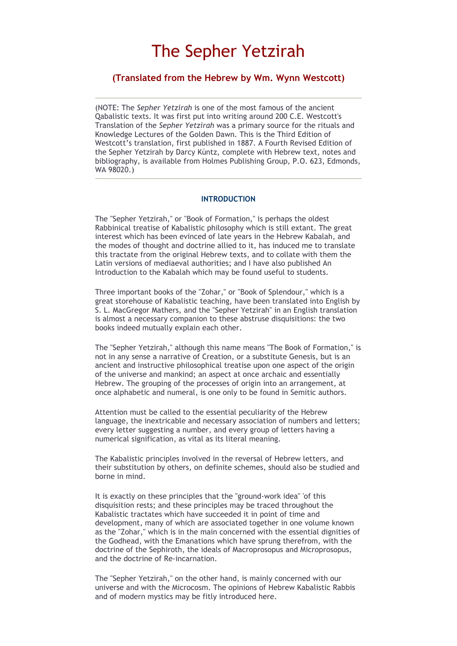# The Sepher Yetzirah

## **(Translated from the Hebrew by Wm. Wynn Westcott)**

(NOTE: The *Sepher Yetzirah* is one of the most famous of the ancient Qabalistic texts. It was first put into writing around 200 C.E. Westcott's Translation of the *Sepher Yetzirah* was a primary source for the rituals and Knowledge Lectures of the Golden Dawn. This is the Third Edition of Westcott's translation, first published in 1887. A Fourth Revised Edition of the Sepher Yetzirah by Darcy Kúntz, complete with Hebrew text, notes and bibliography, is available from Holmes Publishing Group, P.O. 623, Edmonds, WA 98020.)

#### **INTRODUCTION**

The "Sepher Yetzirah," or "Book of Formation," is perhaps the oldest Rabbinical treatise of Kabalistic philosophy which is still extant. The great interest which has been evinced of late years in the Hebrew Kabalah, and the modes of thought and doctrine allied to it, has induced me to translate this tractate from the original Hebrew texts, and to collate with them the Latin versions of mediaeval authorities; and I have also published An Introduction to the Kabalah which may be found useful to students.

Three important books of the "Zohar," or "Book of Splendour," which is a great storehouse of Kabalistic teaching, have been translated into English by S. L. MacGregor Mathers, and the "Sepher Yetzirah" in an English translation is almost a necessary companion to these abstruse disquisitions: the two books indeed mutually explain each other.

The "Sepher Yetzirah," although this name means "The Book of Formation," is not in any sense a narrative of Creation, or a substitute Genesis, but is an ancient and instructive philosophical treatise upon one aspect of the origin of the universe and mankind; an aspect at once archaic and essentially Hebrew. The grouping of the processes of origin into an arrangement, at once alphabetic and numeral, is one only to be found in Semitic authors.

Attention must be called to the essential peculiarity of the Hebrew language, the inextricable and necessary association of numbers and letters; every letter suggesting a number, and every group of letters having a numerical signification, as vital as its literal meaning.

The Kabalistic principles involved in the reversal of Hebrew letters, and their substitution by others, on definite schemes, should also be studied and borne in mind.

It is exactly on these principles that the "ground-work idea" 'of this disquisition rests; and these principles may be traced throughout the Kabalistic tractates which have succeeded it in point of time and development, many of which are associated together in one volume known as the "Zohar," which is in the main concerned with the essential dignities of the Godhead, with the Emanations which have sprung therefrom, with the doctrine of the Sephiroth, the ideals of Macroprosopus and Microprosopus, and the doctrine of Re-incarnation.

The "Sepher Yetzirah," on the other hand, is mainly concerned with our universe and with the Microcosm. The opinions of Hebrew Kabalistic Rabbis and of modern mystics may be fitly introduced here.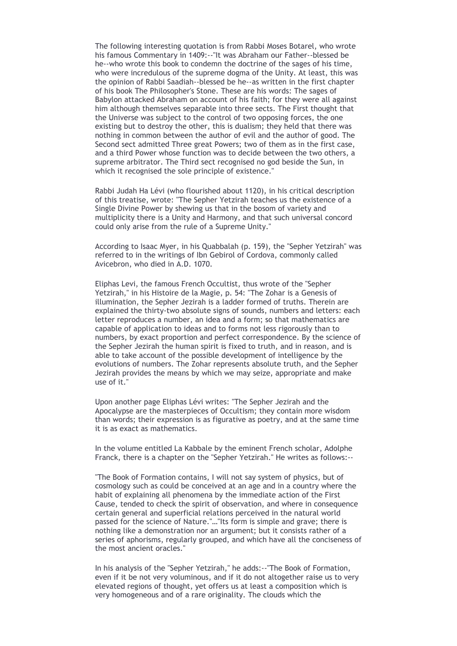The following interesting quotation is from Rabbi Moses Botarel, who wrote his famous Commentary in 1409:--"It was Abraham our Father--blessed be he--who wrote this book to condemn the doctrine of the sages of his time, who were incredulous of the supreme dogma of the Unity. At least, this was the opinion of Rabbi Saadiah--blessed be he--as written in the first chapter of his book The Philosopher's Stone. These are his words: The sages of Babylon attacked Abraham on account of his faith; for they were all against him although themselves separable into three sects. The First thought that the Universe was subject to the control of two opposing forces, the one existing but to destroy the other, this is dualism; they held that there was nothing in common between the author of evil and the author of good. The Second sect admitted Three great Powers; two of them as in the first case, and a third Power whose function was to decide between the two others, a supreme arbitrator. The Third sect recognised no god beside the Sun, in which it recognised the sole principle of existence."

Rabbi Judah Ha Lévi (who flourished about 1120), in his critical description of this treatise, wrote: "The Sepher Yetzirah teaches us the existence of a Single Divine Power by shewing us that in the bosom of variety and multiplicity there is a Unity and Harmony, and that such universal concord could only arise from the rule of a Supreme Unity."

According to Isaac Myer, in his Quabbalah (p. 159), the "Sepher Yetzirah" was referred to in the writings of Ibn Gebirol of Cordova, commonly called Avicebron, who died in A.D. 1070.

Eliphas Levi, the famous French Occultist, thus wrote of the "Sepher Yetzirah," in his Histoire de la Magie, p. 54: "The Zohar is a Genesis of illumination, the Sepher Jezirah is a ladder formed of truths. Therein are explained the thirty-two absolute signs of sounds, numbers and letters: each letter reproduces a number, an idea and a form; so that mathematics are capable of application to ideas and to forms not less rigorously than to numbers, by exact proportion and perfect correspondence. By the science of the Sepher Jezirah the human spirit is fixed to truth, and in reason, and is able to take account of the possible development of intelligence by the evolutions of numbers. The Zohar represents absolute truth, and the Sepher Jezirah provides the means by which we may seize, appropriate and make use of it."

Upon another page Eliphas Lévi writes: "The Sepher Jezirah and the Apocalypse are the masterpieces of Occultism; they contain more wisdom than words; their expression is as figurative as poetry, and at the same time it is as exact as mathematics.

In the volume entitled La Kabbale by the eminent French scholar, Adolphe Franck, there is a chapter on the "Sepher Yetzirah." He writes as follows:--

"The Book of Formation contains, I will not say system of physics, but of cosmology such as could be conceived at an age and in a country where the habit of explaining all phenomena by the immediate action of the First Cause, tended to check the spirit of observation, and where in consequence certain general and superficial relations perceived in the natural world passed for the science of Nature."…"Its form is simple and grave; there is nothing like a demonstration nor an argument; but it consists rather of a series of aphorisms, regularly grouped, and which have all the conciseness of the most ancient oracles."

In his analysis of the "Sepher Yetzirah," he adds:--"The Book of Formation, even if it be not very voluminous, and if it do not altogether raise us to very elevated regions of thought, yet offers us at least a composition which is very homogeneous and of a rare originality. The clouds which the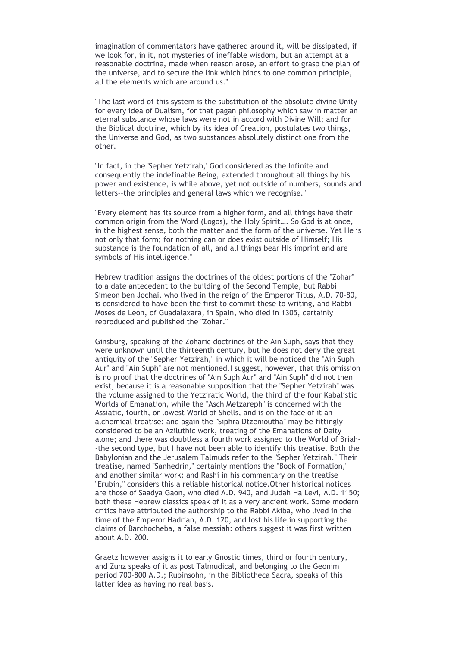imagination of commentators have gathered around it, will be dissipated, if we look for, in it, not mysteries of ineffable wisdom, but an attempt at a reasonable doctrine, made when reason arose, an effort to grasp the plan of the universe, and to secure the link which binds to one common principle, all the elements which are around us."

"The last word of this system is the substitution of the absolute divine Unity for every idea of Dualism, for that pagan philosophy which saw in matter an eternal substance whose laws were not in accord with Divine Will; and for the Biblical doctrine, which by its idea of Creation, postulates two things, the Universe and God, as two substances absolutely distinct one from the other.

"In fact, in the 'Sepher Yetzirah,' God considered as the Infinite and consequently the indefinable Being, extended throughout all things by his power and existence, is while above, yet not outside of numbers, sounds and letters--the principles and general laws which we recognise."

"Every element has its source from a higher form, and all things have their common origin from the Word (Logos), the Holy Spirit…. So God is at once, in the highest sense, both the matter and the form of the universe. Yet He is not only that form; for nothing can or does exist outside of Himself; His substance is the foundation of all, and all things bear His imprint and are symbols of His intelligence."

Hebrew tradition assigns the doctrines of the oldest portions of the "Zohar" to a date antecedent to the building of the Second Temple, but Rabbi Simeon ben Jochai, who lived in the reign of the Emperor Titus, A.D. 70-80, is considered to have been the first to commit these to writing, and Rabbi Moses de Leon, of Guadalaxara, in Spain, who died in 1305, certainly reproduced and published the "Zohar."

Ginsburg, speaking of the Zoharic doctrines of the Ain Suph, says that they were unknown until the thirteenth century, but he does not deny the great antiquity of the "Sepher Yetzirah," in which it will be noticed the "Ain Suph Aur" and "Ain Suph" are not mentioned.I suggest, however, that this omission is no proof that the doctrines of "Ain Suph Aur" and "Ain Suph" did not then exist, because it is a reasonable supposition that the "Sepher Yetzirah" was the volume assigned to the Yetziratic World, the third of the four Kabalistic Worlds of Emanation, while the "Asch Metzareph" is concerned with the Assiatic, fourth, or lowest World of Shells, and is on the face of it an alchemical treatise; and again the "Siphra Dtzenioutha" may be fittingly considered to be an Aziluthic work, treating of the Emanations of Deity alone; and there was doubtless a fourth work assigned to the World of Briah- -the second type, but I have not been able to identify this treatise. Both the Babylonian and the Jerusalem Talmuds refer to the "Sepher Yetzirah." Their treatise, named "Sanhedrin," certainly mentions the "Book of Formation," and another similar work; and Rashi in his commentary on the treatise "Erubin," considers this a reliable historical notice.Other historical notices are those of Saadya Gaon, who died A.D. 940, and Judah Ha Levi, A.D. 1150; both these Hebrew classics speak of it as a very ancient work. Some modern critics have attributed the authorship to the Rabbi Akiba, who lived in the time of the Emperor Hadrian, A.D. 120, and lost his life in supporting the claims of Barchocheba, a false messiah: others suggest it was first written about A.D. 200.

Graetz however assigns it to early Gnostic times, third or fourth century, and Zunz speaks of it as post Talmudical, and belonging to the Geonim period 700-800 A.D.; Rubinsohn, in the Bibliotheca Sacra, speaks of this latter idea as having no real basis.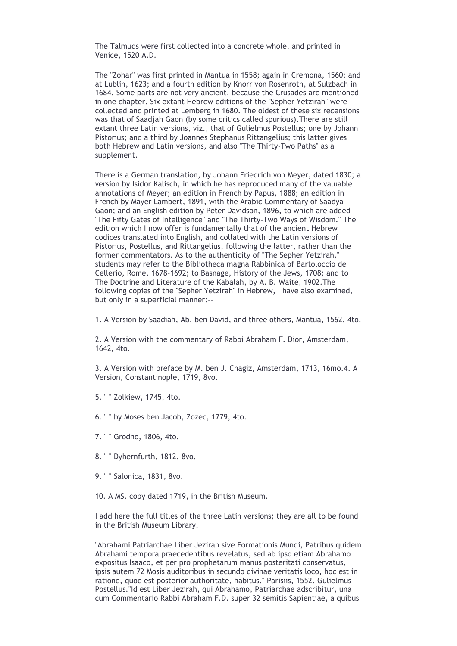The Talmuds were first collected into a concrete whole, and printed in Venice, 1520 A.D.

The "Zohar" was first printed in Mantua in 1558; again in Cremona, 1560; and at Lublin, 1623; and a fourth edition by Knorr von Rosenroth, at Sulzbach in 1684. Some parts are not very ancient, because the Crusades are mentioned in one chapter. Six extant Hebrew editions of the "Sepher Yetzirah" were collected and printed at Lemberg in 1680. The oldest of these six recensions was that of Saadjah Gaon (by some critics called spurious).There are still extant three Latin versions, viz., that of Gulielmus Postellus; one by Johann Pistorius; and a third by Joannes Stephanus Rittangelius; this latter gives both Hebrew and Latin versions, and also "The Thirty-Two Paths" as a supplement.

There is a German translation, by Johann Friedrich von Meyer, dated 1830; a version by Isidor Kalisch, in which he has reproduced many of the valuable annotations of Meyer; an edition in French by Papus, 1888; an edition in French by Mayer Lambert, 1891, with the Arabic Commentary of Saadya Gaon; and an English edition by Peter Davidson, 1896, to which are added "The Fifty Gates of Intelligence" and "The Thirty-Two Ways of Wisdom." The edition which I now offer is fundamentally that of the ancient Hebrew codices translated into English, and collated with the Latin versions of Pistorius, Postellus, and Rittangelius, following the latter, rather than the former commentators. As to the authenticity of "The Sepher Yetzirah," students may refer to the Bibliotheca magna Rabbinica of Bartoloccio de Cellerio, Rome, 1678-1692; to Basnage, History of the Jews, 1708; and to The Doctrine and Literature of the Kabalah, by A. B. Waite, 1902.The following copies of the "Sepher Yetzirah" in Hebrew, I have also examined, but only in a superficial manner:--

1. A Version by Saadiah, Ab. ben David, and three others, Mantua, 1562, 4to.

2. A Version with the commentary of Rabbi Abraham F. Dior, Amsterdam, 1642, 4to.

3. A Version with preface by M. ben J. Chagiz, Amsterdam, 1713, 16mo.4. A Version, Constantinople, 1719, 8vo.

5. " " Zolkiew, 1745, 4to.

6. " " by Moses ben Jacob, Zozec, 1779, 4to.

7. " " Grodno, 1806, 4to.

8. " " Dyhernfurth, 1812, 8vo.

9. " " Salonica, 1831, 8vo.

10. A MS. copy dated 1719, in the British Museum.

I add here the full titles of the three Latin versions; they are all to be found in the British Museum Library.

"Abrahami Patriarchae Liber Jezirah sive Formationis Mundi, Patribus quidem Abrahami tempora praecedentibus revelatus, sed ab ipso etiam Abrahamo expositus Isaaco, et per pro prophetarum manus posteritati conservatus, ipsis autem 72 Mosis auditoribus in secundo divinae veritatis loco, hoc est in ratione, quoe est posterior authoritate, habitus." Parisiis, 1552. Gulielmus Postellus."Id est Liber Jezirah, qui Abrahamo, Patriarchae adscribitur, una cum Commentario Rabbi Abraham F.D. super 32 semitis Sapientiae, a quibus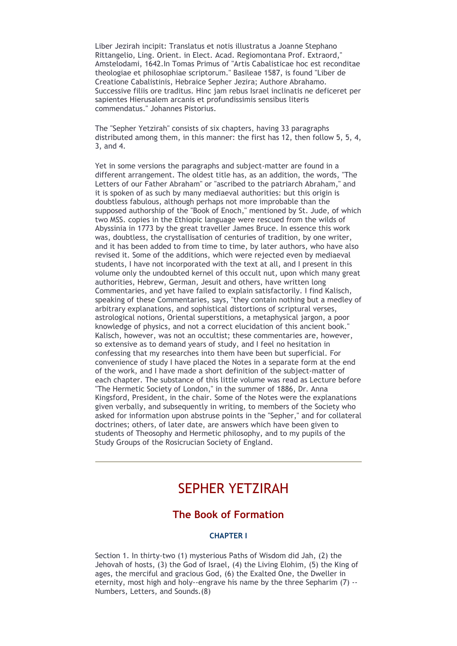Liber Jezirah incipit: Translatus et notis illustratus a Joanne Stephano Rittangelio, Ling. Orient. in Elect. Acad. Regiomontana Prof. Extraord," Amstelodami, 1642.In Tomas Primus of "Artis Cabalisticae hoc est reconditae theologiae et philosophiae scriptorum." Basileae 1587, is found "Liber de Creatione Cabalistinis, Hebraice Sepher Jezira; Authore Abrahamo. Successive filiis ore traditus. Hinc jam rebus Israel inclinatis ne deficeret per sapientes Hierusalem arcanis et profundissimis sensibus literis commendatus." Johannes Pistorius.

The "Sepher Yetzirah" consists of six chapters, having 33 paragraphs distributed among them, in this manner: the first has 12, then follow 5, 5, 4, 3, and 4.

Yet in some versions the paragraphs and subject-matter are found in a different arrangement. The oldest title has, as an addition, the words, "The Letters of our Father Abraham" or "ascribed to the patriarch Abraham," and it is spoken of as such by many mediaeval authorities: but this origin is doubtless fabulous, although perhaps not more improbable than the supposed authorship of the "Book of Enoch," mentioned by St. Jude, of which two MSS. copies in the Ethiopic language were rescued from the wilds of Abyssinia in 1773 by the great traveller James Bruce. In essence this work was, doubtless, the crystallisation of centuries of tradition, by one writer, and it has been added to from time to time, by later authors, who have also revised it. Some of the additions, which were rejected even by mediaeval students, I have not incorporated with the text at all, and I present in this volume only the undoubted kernel of this occult nut, upon which many great authorities, Hebrew, German, Jesuit and others, have written long Commentaries, and yet have failed to explain satisfactorily. I find Kalisch, speaking of these Commentaries, says, "they contain nothing but a medley of arbitrary explanations, and sophistical distortions of scriptural verses, astrological notions, Oriental superstitions, a metaphysical jargon, a poor knowledge of physics, and not a correct elucidation of this ancient book." Kalisch, however, was not an occultist; these commentaries are, however, so extensive as to demand years of study, and I feel no hesitation in confessing that my researches into them have been but superficial. For convenience of study I have placed the Notes in a separate form at the end of the work, and I have made a short definition of the subject-matter of each chapter. The substance of this little volume was read as Lecture before "The Hermetic Society of London," in the summer of 1886, Dr. Anna Kingsford, President, in the chair. Some of the Notes were the explanations given verbally, and subsequently in writing, to members of the Society who asked for information upon abstruse points in the "Sepher," and for collateral doctrines; others, of later date, are answers which have been given to students of Theosophy and Hermetic philosophy, and to my pupils of the Study Groups of the Rosicrucian Society of England.

## SEPHER YETZIRAH

## **The Book of Formation**

## **CHAPTER I**

Section 1. In thirty-two (1) mysterious Paths of Wisdom did Jah, (2) the Jehovah of hosts, (3) the God of Israel, (4) the Living Elohim, (5) the King of ages, the merciful and gracious God, (6) the Exalted One, the Dweller in eternity, most high and holy--engrave his name by the three Sepharim (7) -- Numbers, Letters, and Sounds.(8)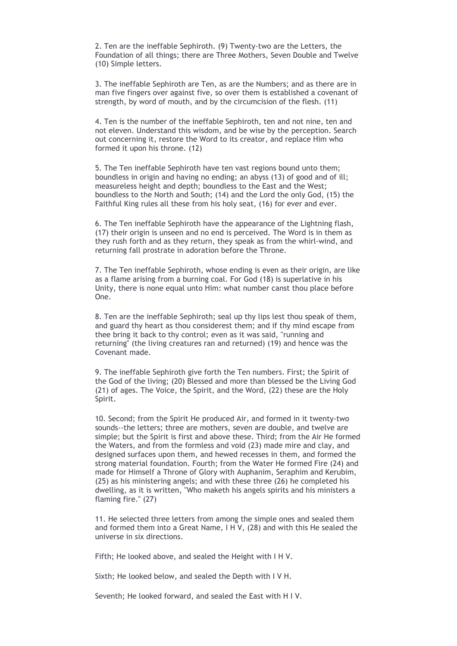2. Ten are the ineffable Sephiroth. (9) Twenty-two are the Letters, the Foundation of all things; there are Three Mothers, Seven Double and Twelve (10) Simple letters.

3. The ineffable Sephiroth are Ten, as are the Numbers; and as there are in man five fingers over against five, so over them is established a covenant of strength, by word of mouth, and by the circumcision of the flesh. (11)

4. Ten is the number of the ineffable Sephiroth, ten and not nine, ten and not eleven. Understand this wisdom, and be wise by the perception. Search out concerning it, restore the Word to its creator, and replace Him who formed it upon his throne. (12)

5. The Ten ineffable Sephiroth have ten vast regions bound unto them; boundless in origin and having no ending; an abyss (13) of good and of ill; measureless height and depth; boundless to the East and the West; boundless to the North and South; (14) and the Lord the only God, (15) the Faithful King rules all these from his holy seat, (16) for ever and ever.

6. The Ten ineffable Sephiroth have the appearance of the Lightning flash, (17) their origin is unseen and no end is perceived. The Word is in them as they rush forth and as they return, they speak as from the whirl-wind, and returning fall prostrate in adoration before the Throne.

7. The Ten ineffable Sephiroth, whose ending is even as their origin, are like as a flame arising from a burning coal. For God (18) is superlative in his Unity, there is none equal unto Him: what number canst thou place before One.

8. Ten are the ineffable Sephiroth; seal up thy lips lest thou speak of them, and guard thy heart as thou considerest them; and if thy mind escape from thee bring it back to thy control; even as it was said, "running and returning" (the living creatures ran and returned) (19) and hence was the Covenant made.

9. The ineffable Sephiroth give forth the Ten numbers. First; the Spirit of the God of the living; (20) Blessed and more than blessed be the Living God (21) of ages. The Voice, the Spirit, and the Word, (22) these are the Holy Spirit.

10. Second; from the Spirit He produced Air, and formed in it twenty-two sounds--the letters; three are mothers, seven are double, and twelve are simple; but the Spirit is first and above these. Third; from the Air He formed the Waters, and from the formless and void (23) made mire and clay, and designed surfaces upon them, and hewed recesses in them, and formed the strong material foundation. Fourth; from the Water He formed Fire (24) and made for Himself a Throne of Glory with Auphanim, Seraphim and Kerubim, (25) as his ministering angels; and with these three (26) he completed his dwelling, as it is written, "Who maketh his angels spirits and his ministers a flaming fire." (27)

11. He selected three letters from among the simple ones and sealed them and formed them into a Great Name, I H V, (28) and with this He sealed the universe in six directions.

Fifth; He looked above, and sealed the Height with I H V.

Sixth; He looked below, and sealed the Depth with I V H.

Seventh; He looked forward, and sealed the East with H I V.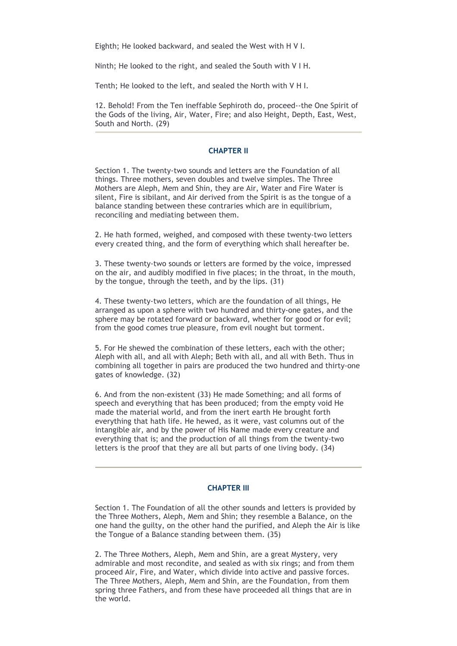Eighth; He looked backward, and sealed the West with H V I.

Ninth; He looked to the right, and sealed the South with V I H.

Tenth; He looked to the left, and sealed the North with V H I.

12. Behold! From the Ten ineffable Sephiroth do, proceed--the One Spirit of the Gods of the living, Air, Water, Fire; and also Height, Depth, East, West, South and North. (29)

#### **CHAPTER II**

Section 1. The twenty-two sounds and letters are the Foundation of all things. Three mothers, seven doubles and twelve simples. The Three Mothers are Aleph, Mem and Shin, they are Air, Water and Fire Water is silent, Fire is sibilant, and Air derived from the Spirit is as the tongue of a balance standing between these contraries which are in equilibrium, reconciling and mediating between them.

2. He hath formed, weighed, and composed with these twenty-two letters every created thing, and the form of everything which shall hereafter be.

3. These twenty-two sounds or letters are formed by the voice, impressed on the air, and audibly modified in five places; in the throat, in the mouth, by the tongue, through the teeth, and by the lips. (31)

4. These twenty-two letters, which are the foundation of all things, He arranged as upon a sphere with two hundred and thirty-one gates, and the sphere may be rotated forward or backward, whether for good or for evil; from the good comes true pleasure, from evil nought but torment.

5. For He shewed the combination of these letters, each with the other; Aleph with all, and all with Aleph; Beth with all, and all with Beth. Thus in combining all together in pairs are produced the two hundred and thirty-one gates of knowledge. (32)

6. And from the non-existent (33) He made Something; and all forms of speech and everything that has been produced; from the empty void He made the material world, and from the inert earth He brought forth everything that hath life. He hewed, as it were, vast columns out of the intangible air, and by the power of His Name made every creature and everything that is; and the production of all things from the twenty-two letters is the proof that they are all but parts of one living body. (34)

#### **CHAPTER III**

Section 1. The Foundation of all the other sounds and letters is provided by the Three Mothers, Aleph, Mem and Shin; they resemble a Balance, on the one hand the guilty, on the other hand the purified, and Aleph the Air is like the Tongue of a Balance standing between them. (35)

2. The Three Mothers, Aleph, Mem and Shin, are a great Mystery, very admirable and most recondite, and sealed as with six rings; and from them proceed Air, Fire, and Water, which divide into active and passive forces. The Three Mothers, Aleph, Mem and Shin, are the Foundation, from them spring three Fathers, and from these have proceeded all things that are in the world.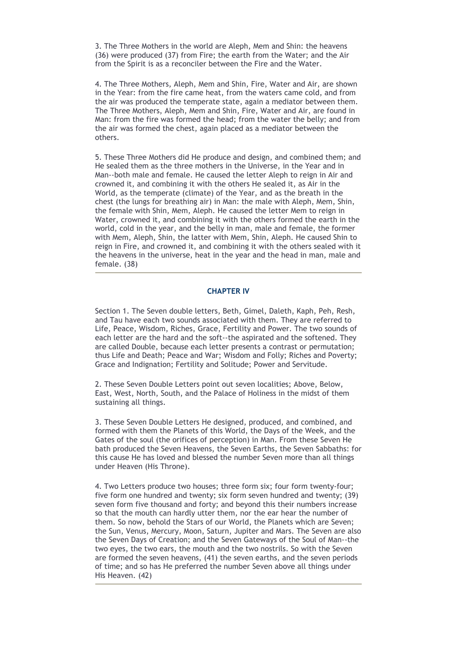3. The Three Mothers in the world are Aleph, Mem and Shin: the heavens (36) were produced (37) from Fire; the earth from the Water; and the Air from the Spirit is as a reconciler between the Fire and the Water.

4. The Three Mothers, Aleph, Mem and Shin, Fire, Water and Air, are shown in the Year: from the fire came heat, from the waters came cold, and from the air was produced the temperate state, again a mediator between them. The Three Mothers, Aleph, Mem and Shin, Fire, Water and Air, are found in Man: from the fire was formed the head; from the water the belly; and from the air was formed the chest, again placed as a mediator between the others.

5. These Three Mothers did He produce and design, and combined them; and He sealed them as the three mothers in the Universe, in the Year and in Man--both male and female. He caused the letter Aleph to reign in Air and crowned it, and combining it with the others He sealed it, as Air in the World, as the temperate (climate) of the Year, and as the breath in the chest (the lungs for breathing air) in Man: the male with Aleph, Mem, Shin, the female with Shin, Mem, Aleph. He caused the letter Mem to reign in Water, crowned it, and combining it with the others formed the earth in the world, cold in the year, and the belly in man, male and female, the former with Mem, Aleph, Shin, the latter with Mem, Shin, Aleph. He caused Shin to reign in Fire, and crowned it, and combining it with the others sealed with it the heavens in the universe, heat in the year and the head in man, male and female. (38)

#### **CHAPTER IV**

Section 1. The Seven double letters, Beth, Gimel, Daleth, Kaph, Peh, Resh, and Tau have each two sounds associated with them. They are referred to Life, Peace, Wisdom, Riches, Grace, Fertility and Power. The two sounds of each letter are the hard and the soft--the aspirated and the softened. They are called Double, because each letter presents a contrast or permutation; thus Life and Death; Peace and War; Wisdom and Folly; Riches and Poverty; Grace and Indignation; Fertility and Solitude; Power and Servitude.

2. These Seven Double Letters point out seven localities; Above, Below, East, West, North, South, and the Palace of Holiness in the midst of them sustaining all things.

3. These Seven Double Letters He designed, produced, and combined, and formed with them the Planets of this World, the Days of the Week, and the Gates of the soul (the orifices of perception) in Man. From these Seven He bath produced the Seven Heavens, the Seven Earths, the Seven Sabbaths: for this cause He has loved and blessed the number Seven more than all things under Heaven (His Throne).

4. Two Letters produce two houses; three form six; four form twenty-four; five form one hundred and twenty; six form seven hundred and twenty; (39) seven form five thousand and forty; and beyond this their numbers increase so that the mouth can hardly utter them, nor the ear hear the number of them. So now, behold the Stars of our World, the Planets which are Seven; the Sun, Venus, Mercury, Moon, Saturn, Jupiter and Mars. The Seven are also the Seven Days of Creation; and the Seven Gateways of the Soul of Man--the two eyes, the two ears, the mouth and the two nostrils. So with the Seven are formed the seven heavens, (41) the seven earths, and the seven periods of time; and so has He preferred the number Seven above all things under His Heaven. (42)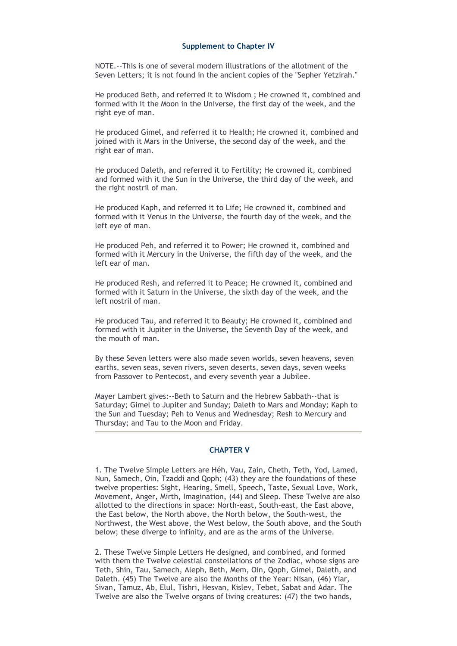#### **Supplement to Chapter IV**

NOTE.--This is one of several modern illustrations of the allotment of the Seven Letters; it is not found in the ancient copies of the "Sepher Yetzirah."

He produced Beth, and referred it to Wisdom ; He crowned it, combined and formed with it the Moon in the Universe, the first day of the week, and the right eye of man.

He produced Gimel, and referred it to Health; He crowned it, combined and joined with it Mars in the Universe, the second day of the week, and the right ear of man.

He produced Daleth, and referred it to Fertility; He crowned it, combined and formed with it the Sun in the Universe, the third day of the week, and the right nostril of man.

He produced Kaph, and referred it to Life; He crowned it, combined and formed with it Venus in the Universe, the fourth day of the week, and the left eye of man.

He produced Peh, and referred it to Power; He crowned it, combined and formed with it Mercury in the Universe, the fifth day of the week, and the left ear of man.

He produced Resh, and referred it to Peace; He crowned it, combined and formed with it Saturn in the Universe, the sixth day of the week, and the left nostril of man.

He produced Tau, and referred it to Beauty; He crowned it, combined and formed with it Jupiter in the Universe, the Seventh Day of the week, and the mouth of man.

By these Seven letters were also made seven worlds, seven heavens, seven earths, seven seas, seven rivers, seven deserts, seven days, seven weeks from Passover to Pentecost, and every seventh year a Jubilee.

Mayer Lambert gives:--Beth to Saturn and the Hebrew Sabbath--that is Saturday; Gimel to Jupiter and Sunday; Daleth to Mars and Monday; Kaph to the Sun and Tuesday; Peh to Venus and Wednesday; Resh to Mercury and Thursday; and Tau to the Moon and Friday.

#### **CHAPTER V**

1. The Twelve Simple Letters are Héh, Vau, Zain, Cheth, Teth, Yod, Lamed, Nun, Samech, Oin, Tzaddi and Qoph; (43) they are the foundations of these twelve properties: Sight, Hearing, Smell, Speech, Taste, Sexual Love, Work, Movement, Anger, Mirth, Imagination, (44) and Sleep. These Twelve are also allotted to the directions in space: North-east, South-east, the East above, the East below, the North above, the North below, the South-west, the Northwest, the West above, the West below, the South above, and the South below; these diverge to infinity, and are as the arms of the Universe.

2. These Twelve Simple Letters He designed, and combined, and formed with them the Twelve celestial constellations of the Zodiac, whose signs are Teth, Shin, Tau, Samech, Aleph, Beth, Mem, Oin, Qoph, Gimel, Daleth, and Daleth. (45) The Twelve are also the Months of the Year: Nisan, (46) Yiar, Sivan, Tamuz, Ab, Elul, Tishri, Hesvan, Kislev, Tebet, Sabat and Adar. The Twelve are also the Twelve organs of living creatures: (47) the two hands,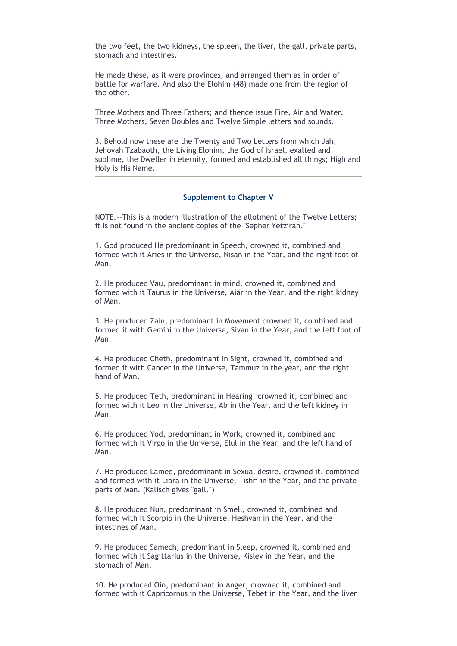the two feet, the two kidneys, the spleen, the liver, the gall, private parts, stomach and intestines.

He made these, as it were provinces, and arranged them as in order of battle for warfare. And also the Elohim (48) made one from the region of the other.

Three Mothers and Three Fathers; and thence issue Fire, Air and Water. Three Mothers, Seven Doubles and Twelve Simple letters and sounds.

3. Behold now these are the Twenty and Two Letters from which Jah, Jehovah Tzabaoth, the Living Elohim, the God of Israel, exalted and sublime, the Dweller in eternity, formed and established all things; High and Holy is His Name.

#### **Supplement to Chapter V**

NOTE.--This is a modern illustration of the allotment of the Twelve Letters; it is not found in the ancient copies of the "Sepher Yetzirah."

1. God produced Hé predominant in Speech, crowned it, combined and formed with it Aries in the Universe, Nisan in the Year, and the right foot of Man.

2. He produced Vau, predominant in mind, crowned it, combined and formed with it Taurus in the Universe, Aiar in the Year, and the right kidney of Man.

3. He produced Zain, predominant in Movement crowned it, combined and formed it with Gemini in the Universe, Sivan in the Year, and the left foot of Man.

4. He produced Cheth, predominant in Sight, crowned it, combined and formed it with Cancer in the Universe, Tammuz in the year, and the right hand of Man.

5. He produced Teth, predominant in Hearing, crowned it, combined and formed with it Leo in the Universe, Ab in the Year, and the left kidney in Man.

6. He produced Yod, predominant in Work, crowned it, combined and formed with it Virgo in the Universe, Elul in the Year, and the left hand of Man.

7. He produced Lamed, predominant in Sexual desire, crowned it, combined and formed with it Libra in the Universe, Tishri in the Year, and the private parts of Man. (Kalisch gives "gall.")

8. He produced Nun, predominant in Smell, crowned it, combined and formed with it Scorpio in the Universe, Heshvan in the Year, and the intestines of Man.

9. He produced Samech, predominant in Sleep, crowned it, combined and formed with it Sagittarius in the Universe, Kislev in the Year, and the stomach of Man.

10. He produced Oin, predominant in Anger, crowned it, combined and formed with it Capricornus in the Universe, Tebet in the Year, and the liver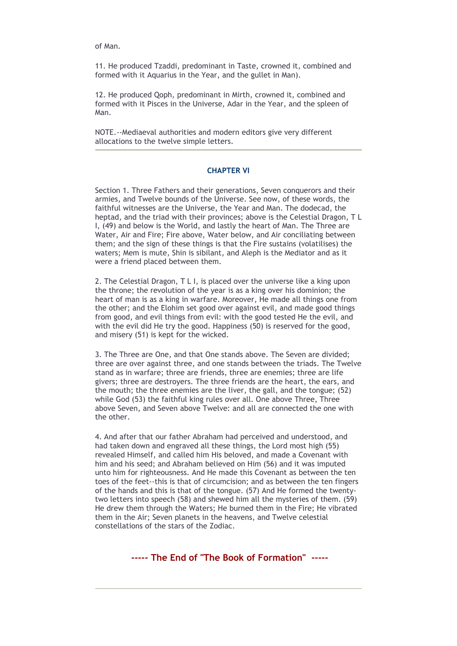of Man.

11. He produced Tzaddi, predominant in Taste, crowned it, combined and formed with it Aquarius in the Year, and the gullet in Man).

12. He produced Qoph, predominant in Mirth, crowned it, combined and formed with it Pisces in the Universe, Adar in the Year, and the spleen of Man.

NOTE.--Mediaeval authorities and modern editors give very different allocations to the twelve simple letters.

#### **CHAPTER VI**

Section 1. Three Fathers and their generations, Seven conquerors and their armies, and Twelve bounds of the Universe. See now, of these words, the faithful witnesses are the Universe, the Year and Man. The dodecad, the heptad, and the triad with their provinces; above is the Celestial Dragon, T L I, (49) and below is the World, and lastly the heart of Man. The Three are Water, Air and Fire; Fire above, Water below, and Air conciliating between them; and the sign of these things is that the Fire sustains (volatilises) the waters; Mem is mute, Shin is sibilant, and Aleph is the Mediator and as it were a friend placed between them.

2. The Celestial Dragon, T L I, is placed over the universe like a king upon the throne; the revolution of the year is as a king over his dominion; the heart of man is as a king in warfare. Moreover, He made all things one from the other; and the Elohim set good over against evil, and made good things from good, and evil things from evil: with the good tested He the evil, and with the evil did He try the good. Happiness (50) is reserved for the good, and misery (51) is kept for the wicked.

3. The Three are One, and that One stands above. The Seven are divided; three are over against three, and one stands between the triads. The Twelve stand as in warfare; three are friends, three are enemies; three are life givers; three are destroyers. The three friends are the heart, the ears, and the mouth; the three enemies are the liver, the gall, and the tongue; (52) while God (53) the faithful king rules over all. One above Three, Three above Seven, and Seven above Twelve: and all are connected the one with the other.

4. And after that our father Abraham had perceived and understood, and had taken down and engraved all these things, the Lord most high (55) revealed Himself, and called him His beloved, and made a Covenant with him and his seed; and Abraham believed on Him (56) and it was imputed unto him for righteousness. And He made this Covenant as between the ten toes of the feet--this is that of circumcision; and as between the ten fingers of the hands and this is that of the tongue. (57) And He formed the twentytwo letters into speech (58) and shewed him all the mysteries of them. (59) He drew them through the Waters; He burned them in the Fire; He vibrated them in the Air; Seven planets in the heavens, and Twelve celestial constellations of the stars of the Zodiac.

## **----- The End of "The Book of Formation" -----**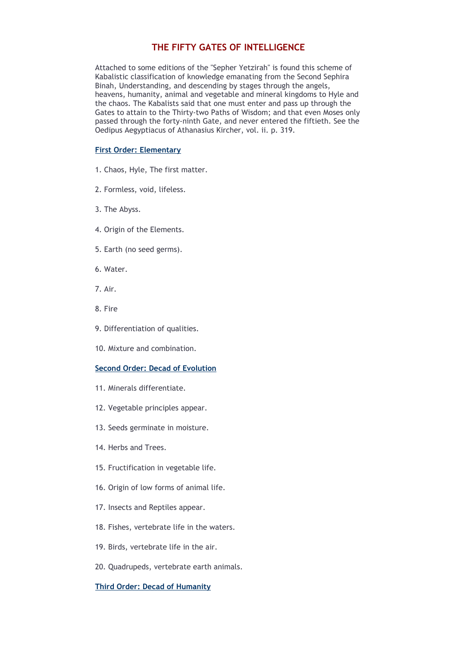## **THE FIFTY GATES OF INTELLIGENCE**

Attached to some editions of the "Sepher Yetzirah" is found this scheme of Kabalistic classification of knowledge emanating from the Second Sephira Binah, Understanding, and descending by stages through the angels, heavens, humanity, animal and vegetable and mineral kingdoms to Hyle and the chaos. The Kabalists said that one must enter and pass up through the Gates to attain to the Thirty-two Paths of Wisdom; and that even Moses only passed through the forty-ninth Gate, and never entered the fiftieth. See the Oedipus Aegyptiacus of Athanasius Kircher, vol. ii. p. 319.

#### **First Order: Elementary**

- 1. Chaos, Hyle, The first matter.
- 2. Formless, void, lifeless.
- 3. The Abyss.
- 4. Origin of the Elements.
- 5. Earth (no seed germs).
- 6. Water.
- 7. Air.
- 8. Fire
- 9. Differentiation of qualities.
- 10. Mixture and combination.

#### **Second Order: Decad of Evolution**

- 11. Minerals differentiate.
- 12. Vegetable principles appear.
- 13. Seeds germinate in moisture.
- 14. Herbs and Trees.
- 15. Fructification in vegetable life.
- 16. Origin of low forms of animal life.
- 17. Insects and Reptiles appear.
- 18. Fishes, vertebrate life in the waters.
- 19. Birds, vertebrate life in the air.
- 20. Quadrupeds, vertebrate earth animals.

#### **Third Order: Decad of Humanity**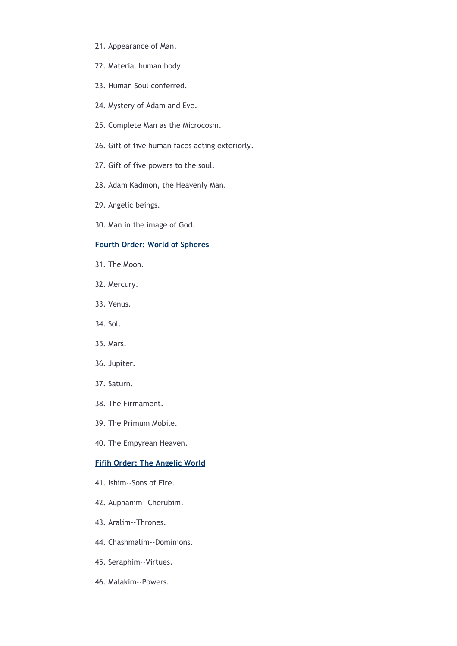- 21. Appearance of Man.
- 22. Material human body.
- 23. Human Soul conferred.
- 24. Mystery of Adam and Eve.
- 25. Complete Man as the Microcosm.
- 26. Gift of five human faces acting exteriorly.
- 27. Gift of five powers to the soul.
- 28. Adam Kadmon, the Heavenly Man.
- 29. Angelic beings.
- 30. Man in the image of God.

#### **Fourth Order: World of Spheres**

- 31. The Moon.
- 32. Mercury.
- 33. Venus.
- 34. Sol.
- 35. Mars.
- 36. Jupiter.
- 37. Saturn.
- 38. The Firmament.
- 39. The Primum Mobile.
- 40. The Empyrean Heaven.

#### **Fifih Order: The Angelic World**

- 41. Ishim--Sons of Fire.
- 42. Auphanim--Cherubim.
- 43. Aralim--Thrones.
- 44. Chashmalim--Dominions.
- 45. Seraphim--Virtues.
- 46. Malakim--Powers.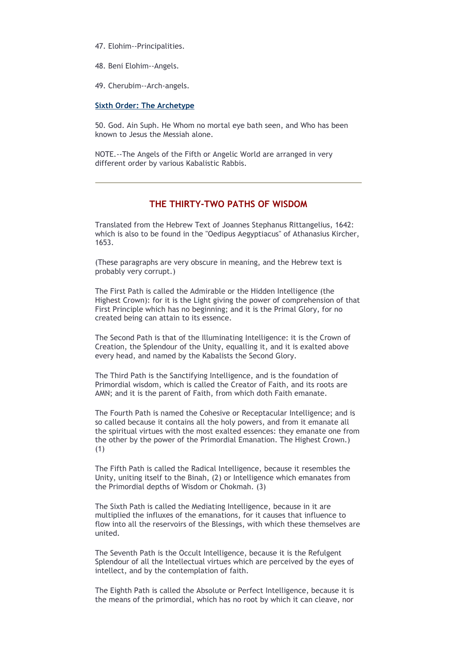- 47. Elohim--Principalities.
- 48. Beni Elohim--Angels.
- 49. Cherubim--Arch-angels.

#### **Sixth Order: The Archetype**

50. God. Ain Suph. He Whom no mortal eye bath seen, and Who has been known to Jesus the Messiah alone.

NOTE.--The Angels of the Fifth or Angelic World are arranged in very different order by various Kabalistic Rabbis.

## **THE THIRTY-TWO PATHS OF WISDOM**

Translated from the Hebrew Text of Joannes Stephanus Rittangelius, 1642: which is also to be found in the "Oedipus Aegyptiacus" of Athanasius Kircher, 1653.

(These paragraphs are very obscure in meaning, and the Hebrew text is probably very corrupt.)

The First Path is called the Admirable or the Hidden Intelligence (the Highest Crown): for it is the Light giving the power of comprehension of that First Principle which has no beginning; and it is the Primal Glory, for no created being can attain to its essence.

The Second Path is that of the Illuminating Intelligence: it is the Crown of Creation, the Splendour of the Unity, equalling it, and it is exalted above every head, and named by the Kabalists the Second Glory.

The Third Path is the Sanctifying Intelligence, and is the foundation of Primordial wisdom, which is called the Creator of Faith, and its roots are AMN; and it is the parent of Faith, from which doth Faith emanate.

The Fourth Path is named the Cohesive or Receptacular Intelligence; and is so called because it contains all the holy powers, and from it emanate all the spiritual virtues with the most exalted essences: they emanate one from the other by the power of the Primordial Emanation. The Highest Crown.) (1)

The Fifth Path is called the Radical Intelligence, because it resembles the Unity, uniting itself to the Binah, (2) or Intelligence which emanates from the Primordial depths of Wisdom or Chokmah. (3)

The Sixth Path is called the Mediating Intelligence, because in it are multiplied the influxes of the emanations, for it causes that influence to flow into all the reservoirs of the Blessings, with which these themselves are united.

The Seventh Path is the Occult Intelligence, because it is the Refulgent Splendour of all the Intellectual virtues which are perceived by the eyes of intellect, and by the contemplation of faith.

The Eighth Path is called the Absolute or Perfect Intelligence, because it is the means of the primordial, which has no root by which it can cleave, nor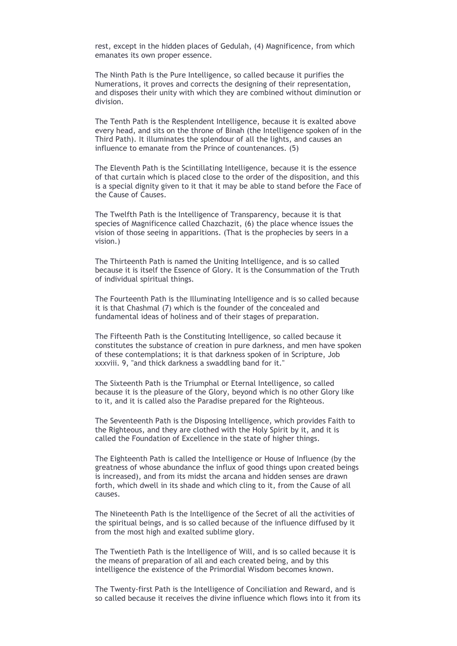rest, except in the hidden places of Gedulah, (4) Magnificence, from which emanates its own proper essence.

The Ninth Path is the Pure Intelligence, so called because it purifies the Numerations, it proves and corrects the designing of their representation, and disposes their unity with which they are combined without diminution or division.

The Tenth Path is the Resplendent Intelligence, because it is exalted above every head, and sits on the throne of Binah (the Intelligence spoken of in the Third Path). It illuminates the splendour of all the lights, and causes an influence to emanate from the Prince of countenances. (5)

The Eleventh Path is the Scintillating Intelligence, because it is the essence of that curtain which is placed close to the order of the disposition, and this is a special dignity given to it that it may be able to stand before the Face of the Cause of Causes.

The Twelfth Path is the Intelligence of Transparency, because it is that species of Magnificence called Chazchazit, (6) the place whence issues the vision of those seeing in apparitions. (That is the prophecies by seers in a vision.)

The Thirteenth Path is named the Uniting Intelligence, and is so called because it is itself the Essence of Glory. It is the Consummation of the Truth of individual spiritual things.

The Fourteenth Path is the Illuminating Intelligence and is so called because it is that Chashmal (7) which is the founder of the concealed and fundamental ideas of holiness and of their stages of preparation.

The Fifteenth Path is the Constituting Intelligence, so called because it constitutes the substance of creation in pure darkness, and men have spoken of these contemplations; it is that darkness spoken of in Scripture, Job xxxviii. 9, "and thick darkness a swaddling band for it."

The Sixteenth Path is the Triumphal or Eternal Intelligence, so called because it is the pleasure of the Glory, beyond which is no other Glory like to it, and it is called also the Paradise prepared for the Righteous.

The Seventeenth Path is the Disposing Intelligence, which provides Faith to the Righteous, and they are clothed with the Holy Spirit by it, and it is called the Foundation of Excellence in the state of higher things.

The Eighteenth Path is called the Intelligence or House of Influence (by the greatness of whose abundance the influx of good things upon created beings is increased), and from its midst the arcana and hidden senses are drawn forth, which dwell in its shade and which cling to it, from the Cause of all causes.

The Nineteenth Path is the Intelligence of the Secret of all the activities of the spiritual beings, and is so called because of the influence diffused by it from the most high and exalted sublime glory.

The Twentieth Path is the Intelligence of Will, and is so called because it is the means of preparation of all and each created being, and by this intelligence the existence of the Primordial Wisdom becomes known.

The Twenty-first Path is the Intelligence of Conciliation and Reward, and is so called because it receives the divine influence which flows into it from its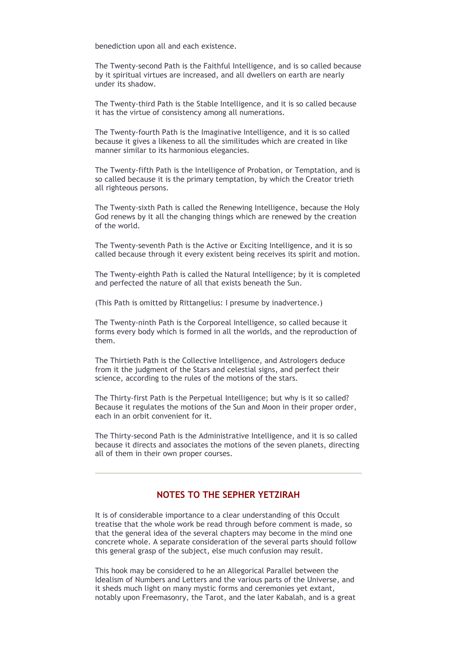benediction upon all and each existence.

The Twenty-second Path is the Faithful Intelligence, and is so called because by it spiritual virtues are increased, and all dwellers on earth are nearly under its shadow.

The Twenty-third Path is the Stable Intelligence, and it is so called because it has the virtue of consistency among all numerations.

The Twenty-fourth Path is the Imaginative Intelligence, and it is so called because it gives a likeness to all the similitudes which are created in like manner similar to its harmonious elegancies.

The Twenty-fifth Path is the Intelligence of Probation, or Temptation, and is so called because it is the primary temptation, by which the Creator trieth all righteous persons.

The Twenty-sixth Path is called the Renewing Intelligence, because the Holy God renews by it all the changing things which are renewed by the creation of the world.

The Twenty-seventh Path is the Active or Exciting Intelligence, and it is so called because through it every existent being receives its spirit and motion.

The Twenty-eighth Path is called the Natural Intelligence; by it is completed and perfected the nature of all that exists beneath the Sun.

(This Path is omitted by Rittangelius: I presume by inadvertence.)

The Twenty-ninth Path is the Corporeal Intelligence, so called because it forms every body which is formed in all the worlds, and the reproduction of them.

The Thirtieth Path is the Collective Intelligence, and Astrologers deduce from it the judgment of the Stars and celestial signs, and perfect their science, according to the rules of the motions of the stars.

The Thirty-first Path is the Perpetual Intelligence; but why is it so called? Because it regulates the motions of the Sun and Moon in their proper order, each in an orbit convenient for it.

The Thirty-second Path is the Administrative Intelligence, and it is so called because it directs and associates the motions of the seven planets, directing all of them in their own proper courses.

## **NOTES TO THE SEPHER YETZIRAH**

It is of considerable importance to a clear understanding of this Occult treatise that the whole work be read through before comment is made, so that the general idea of the several chapters may become in the mind one concrete whole. A separate consideration of the several parts should follow this general grasp of the subject, else much confusion may result.

This hook may be considered to he an Allegorical Parallel between the Idealism of Numbers and Letters and the various parts of the Universe, and it sheds much light on many mystic forms and ceremonies yet extant, notably upon Freemasonry, the Tarot, and the later Kabalah, and is a great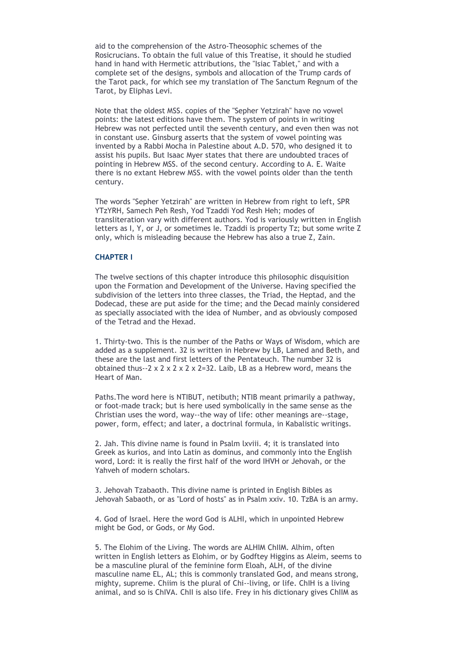aid to the comprehension of the Astro-Theosophic schemes of the Rosicrucians. To obtain the full value of this Treatise, it should he studied hand in hand with Hermetic attributions, the "Isiac Tablet," and with a complete set of the designs, symbols and allocation of the Trump cards of the Tarot pack, for which see my translation of The Sanctum Regnum of the Tarot, by Eliphas Levi.

Note that the oldest MSS. copies of the "Sepher Yetzirah" have no vowel points: the latest editions have them. The system of points in writing Hebrew was not perfected until the seventh century, and even then was not in constant use. Ginsburg asserts that the system of vowel pointing was invented by a Rabbi Mocha in Palestine about A.D. 570, who designed it to assist his pupils. But Isaac Myer states that there are undoubted traces of pointing in Hebrew MSS. of the second century. According to A. E. Waite there is no extant Hebrew MSS. with the vowel points older than the tenth century.

The words "Sepher Yetzirah" are written in Hebrew from right to left, SPR YTzYRH, Samech Peh Resh, Yod Tzaddi Yod Resh Heh; modes of transliteration vary with different authors. Yod is variously written in English letters as I, Y, or J, or sometimes Ie. Tzaddi is property Tz; but some write Z only, which is misleading because the Hebrew has also a true Z, Zain.

#### **CHAPTER I**

The twelve sections of this chapter introduce this philosophic disquisition upon the Formation and Development of the Universe. Having specified the subdivision of the letters into three classes, the Triad, the Heptad, and the Dodecad, these are put aside for the time; and the Decad mainly considered as specially associated with the idea of Number, and as obviously composed of the Tetrad and the Hexad.

1. Thirty-two. This is the number of the Paths or Ways of Wisdom, which are added as a supplement. 32 is written in Hebrew by LB, Lamed and Beth, and these are the last and first letters of the Pentateuch. The number 32 is obtained thus--2  $\times$  2  $\times$  2  $\times$  2  $\times$  2=32. Laib, LB as a Hebrew word, means the Heart of Man.

Paths.The word here is NTIBUT, netibuth; NTIB meant primarily a pathway, or foot-made track; but is here used symbolically in the same sense as the Christian uses the word, way--the way of life: other meanings are--stage, power, form, effect; and later, a doctrinal formula, in Kabalistic writings.

2. Jah. This divine name is found in Psalm lxviii. 4; it is translated into Greek as kurios, and into Latin as dominus, and commonly into the English word, Lord: it is really the first half of the word IHVH or Jehovah, or the Yahveh of modern scholars.

3. Jehovah Tzabaoth. This divine name is printed in English Bibles as Jehovah Sabaoth, or as "Lord of hosts" as in Psalm xxiv. 10. TzBA is an army.

4. God of Israel. Here the word God is ALHI, which in unpointed Hebrew might be God, or Gods, or My God.

5. The Elohim of the Living. The words are ALHIM ChIIM. Alhim, often written in English letters as Elohim, or by Godftey Higgins as Aleim, seems to be a masculine plural of the feminine form Eloah, ALH, of the divine masculine name EL, AL; this is commonly translated God, and means strong, mighty, supreme. Chiim is the plural of Chi--living, or life. ChIH is a living animal, and so is ChIVA. ChII is also life. Frey in his dictionary gives ChIIM as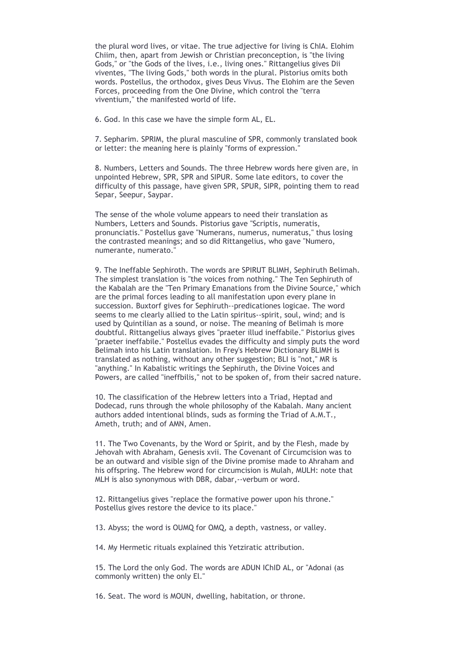the plural word lives, or vitae. The true adjective for living is ChIA. Elohim Chiim, then, apart from Jewish or Christian preconception, is "the living Gods," or "the Gods of the lives, i.e., living ones." Rittangelius gives Dii viventes, "The living Gods," both words in the plural. Pistorius omits both words. Postellus, the orthodox, gives Deus Vivus. The Elohim are the Seven Forces, proceeding from the One Divine, which control the "terra viventium," the manifested world of life.

6. God. In this case we have the simple form AL, EL.

7. Sepharim. SPRIM, the plural masculine of SPR, commonly translated book or letter: the meaning here is plainly "forms of expression."

8. Numbers, Letters and Sounds. The three Hebrew words here given are, in unpointed Hebrew, SPR, SPR and SIPUR. Some late editors, to cover the difficulty of this passage, have given SPR, SPUR, SIPR, pointing them to read Separ, Seepur, Saypar.

The sense of the whole volume appears to need their translation as Numbers, Letters and Sounds. Pistorius gave "Scriptis, numeratis, pronunciatis." Postellus gave "Numerans, numerus, numeratus," thus losing the contrasted meanings; and so did Rittangelius, who gave "Numero, numerante, numerato."

9. The Ineffable Sephiroth. The words are SPIRUT BLIMH, Sephiruth Belimah. The simplest translation is "the voices from nothing." The Ten Sephiruth of the Kabalah are the "Ten Primary Emanations from the Divine Source," which are the primal forces leading to all manifestation upon every plane in succession. Buxtorf gives for Sephiruth--predicationes logicae. The word seems to me clearly allied to the Latin spiritus--spirit, soul, wind; and is used by Quintilian as a sound, or noise. The meaning of Belimah is more doubtful. Rittangelius always gives "praeter illud ineffabile." Pistorius gives "praeter ineffabile." Postellus evades the difficulty and simply puts the word Belimah into his Latin translation. In Frey's Hebrew Dictionary BLIMH is translated as nothing, without any other suggestion; BLI is "not," MR is "anything." In Kabalistic writings the Sephiruth, the Divine Voices and Powers, are called "ineffbilis," not to be spoken of, from their sacred nature.

10. The classification of the Hebrew letters into a Triad, Heptad and Dodecad, runs through the whole philosophy of the Kabalah. Many ancient authors added intentional blinds, suds as forming the Triad of A.M.T., Ameth, truth; and of AMN, Amen.

11. The Two Covenants, by the Word or Spirit, and by the Flesh, made by Jehovah with Abraham, Genesis xvii. The Covenant of Circumcision was to be an outward and visible sign of the Divine promise made to Ahraham and his offspring. The Hebrew word for circumcision is Mulah, MULH: note that MLH is also synonymous with DBR, dabar,--verbum or word.

12. Rittangelius gives "replace the formative power upon his throne." Postellus gives restore the device to its place."

13. Abyss; the word is OUMQ for OMQ, a depth, vastness, or valley.

14. My Hermetic rituals explained this Yetziratic attribution.

15. The Lord the only God. The words are ADUN IChID AL, or "Adonai (as commonly written) the only El."

16. Seat. The word is MOUN, dwelling, habitation, or throne.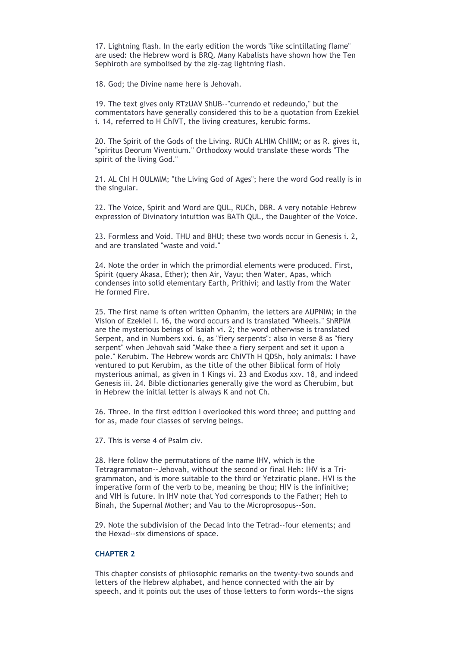17. Lightning flash. In the early edition the words "like scintillating flame" are used: the Hebrew word is BRQ. Many Kabalists have shown how the Ten Sephiroth are symbolised by the zig-zag lightning flash.

18. God; the Divine name here is Jehovah.

19. The text gives only RTzUAV ShUB--"currendo et redeundo," but the commentators have generally considered this to be a quotation from Ezekiel i. 14, referred to H ChIVT, the living creatures, kerubic forms.

20. The Spirit of the Gods of the Living. RUCh ALHIM ChIIIM; or as R. gives it, "spiritus Deorum Viventium." Orthodoxy would translate these words "The spirit of the living God."

21. AL ChI H OULMIM; "the Living God of Ages"; here the word God really is in the singular.

22. The Voice, Spirit and Word are QUL, RUCh, DBR. A very notable Hebrew expression of Divinatory intuition was BATh QUL, the Daughter of the Voice.

23. Formless and Void. THU and BHU; these two words occur in Genesis i. 2, and are translated "waste and void."

24. Note the order in which the primordial elements were produced. First, Spirit (query Akasa, Ether); then Air, Vayu; then Water, Apas, which condenses into solid elementary Earth, Prithivi; and lastly from the Water He formed Fire.

25. The first name is often written Ophanim, the letters are AUPNIM; in the Vision of Ezekiel i. 16, the word occurs and is translated "Wheels." ShRPIM are the mysterious beings of Isaiah vi. 2; the word otherwise is translated Serpent, and in Numbers xxi. 6, as "fiery serpents": also in verse 8 as "fiery serpent" when Jehovah said "Make thee a fiery serpent and set it upon a pole." Kerubim. The Hebrew words arc ChIVTh H QDSh, holy animals: I have ventured to put Kerubim, as the title of the other Biblical form of Holy mysterious animal, as given in 1 Kings vi. 23 and Exodus xxv. 18, and indeed Genesis iii. 24. Bible dictionaries generally give the word as Cherubim, but in Hebrew the initial letter is always K and not Ch.

26. Three. In the first edition I overlooked this word three; and putting and for as, made four classes of serving beings.

27. This is verse 4 of Psalm civ.

28. Here follow the permutations of the name IHV, which is the Tetragrammaton--Jehovah, without the second or final Heh: IHV is a Trigrammaton, and is more suitable to the third or Yetziratic plane. HVI is the imperative form of the verb to be, meaning be thou; HIV is the infinitive; and VIH is future. In IHV note that Yod corresponds to the Father; Heh to Binah, the Supernal Mother; and Vau to the Microprosopus--Son.

29. Note the subdivision of the Decad into the Tetrad--four elements; and the Hexad--six dimensions of space.

#### **CHAPTER 2**

This chapter consists of philosophic remarks on the twenty-two sounds and letters of the Hebrew alphabet, and hence connected with the air by speech, and it points out the uses of those letters to form words--the signs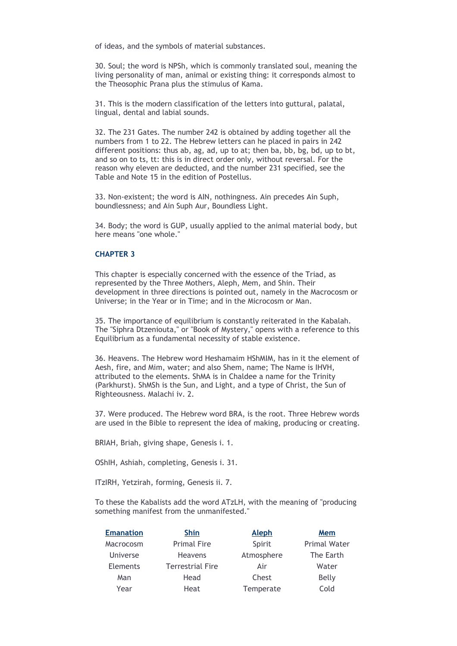of ideas, and the symbols of material substances.

30. Soul; the word is NPSh, which is commonly translated soul, meaning the living personality of man, animal or existing thing: it corresponds almost to the Theosophic Prana plus the stimulus of Kama.

31. This is the modern classification of the letters into guttural, palatal, lingual, dental and labial sounds.

32. The 231 Gates. The number 242 is obtained by adding together all the numbers from 1 to 22. The Hebrew letters can he placed in pairs in 242 different positions: thus ab, ag, ad, up to at; then ba, bb, bg, bd, up to bt, and so on to ts, tt: this is in direct order only, without reversal. For the reason why eleven are deducted, and the number 231 specified, see the Table and Note 15 in the edition of Postellus.

33. Non-existent; the word is AIN, nothingness. Ain precedes Ain Suph, boundlessness; and Ain Suph Aur, Boundless Light.

34. Body; the word is GUP, usually applied to the animal material body, but here means "one whole."

#### **CHAPTER 3**

This chapter is especially concerned with the essence of the Triad, as represented by the Three Mothers, Aleph, Mem, and Shin. Their development in three directions is pointed out, namely in the Macrocosm or Universe; in the Year or in Time; and in the Microcosm or Man.

35. The importance of equilibrium is constantly reiterated in the Kabalah. The "Siphra Dtzeniouta," or "Book of Mystery," opens with a reference to this Equilibrium as a fundamental necessity of stable existence.

36. Heavens. The Hebrew word Heshamaim HShMIM, has in it the element of Aesh, fire, and Mim, water; and also Shem, name; The Name is IHVH, attributed to the elements. ShMA is in Chaldee a name for the Trinity (Parkhurst). ShMSh is the Sun, and Light, and a type of Christ, the Sun of Righteousness. Malachi iv. 2.

37. Were produced. The Hebrew word BRA, is the root. Three Hebrew words are used in the Bible to represent the idea of making, producing or creating.

BRIAH, Briah, giving shape, Genesis i. 1.

OShIH, Ashiah, completing, Genesis i. 31.

ITzIRH, Yetzirah, forming, Genesis ii. 7.

To these the Kabalists add the word ATzLH, with the meaning of "producing something manifest from the unmanifested."

| <b>Emanation</b> | <b>Shin</b>             |            | Mem                 |
|------------------|-------------------------|------------|---------------------|
| Macrocosm        | <b>Primal Fire</b>      | Spirit     | <b>Primal Water</b> |
| <b>Universe</b>  | <b>Heavens</b>          | Atmosphere | The Earth           |
| Elements         | <b>Terrestrial Fire</b> | Air        | Water               |
| Man              | Head                    | Chest      | Belly               |
| Year             | Heat                    | Temperate  | Cold                |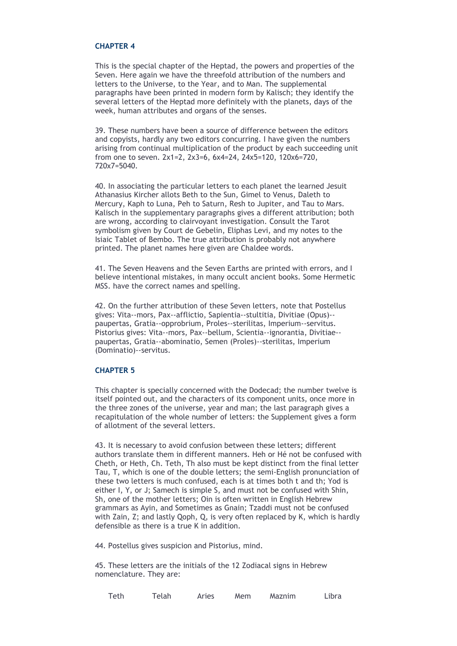#### **CHAPTER 4**

This is the special chapter of the Heptad, the powers and properties of the Seven. Here again we have the threefold attribution of the numbers and letters to the Universe, to the Year, and to Man. The supplemental paragraphs have been printed in modern form by Kalisch; they identify the several letters of the Heptad more definitely with the planets, days of the week, human attributes and organs of the senses.

39. These numbers have been a source of difference between the editors and copyists, hardly any two editors concurring. I have given the numbers arising from continual multiplication of the product by each succeeding unit from one to seven. 2x1=2, 2x3=6, 6x4=24, 24x5=120, 120x6=720, 720x7=5040.

40. In associating the particular letters to each planet the learned Jesuit Athanasius Kircher allots Beth to the Sun, Gimel to Venus, Daleth to Mercury, Kaph to Luna, Peh to Saturn, Resh to Jupiter, and Tau to Mars. Kalisch in the supplementary paragraphs gives a different attribution; both are wrong, according to clairvoyant investigation. Consult the Tarot symbolism given by Court de Gebelin, Eliphas Levi, and my notes to the Isiaic Tablet of Bembo. The true attribution is probably not anywhere printed. The planet names here given are Chaldee words.

41. The Seven Heavens and the Seven Earths are printed with errors, and I believe intentional mistakes, in many occult ancient books. Some Hermetic MSS. have the correct names and spelling.

42. On the further attribution of these Seven letters, note that Postellus gives: Vita--mors, Pax--afflictio, Sapientia--stultitia, Divitiae (Opus)- paupertas, Gratia--opprobrium, Proles--sterilitas, Imperium--servitus. Pistorius gives: Vita--mors, Pax--bellum, Scientia--ignorantia, Divitiae- paupertas, Gratia--abominatio, Semen (Proles)--sterilitas, Imperium (Dominatio)--servitus.

#### **CHAPTER 5**

This chapter is specially concerned with the Dodecad; the number twelve is itself pointed out, and the characters of its component units, once more in the three zones of the universe, year and man; the last paragraph gives a recapitulation of the whole number of letters: the Supplement gives a form of allotment of the several letters.

43. It is necessary to avoid confusion between these letters; different authors translate them in different manners. Heh or Hé not be confused with Cheth, or Heth, Ch. Teth, Th also must be kept distinct from the final letter Tau, T, which is one of the double letters; the semi-English pronunciation of these two letters is much confused, each is at times both t and th; Yod is either I, Y, or J; Samech is simple S, and must not be confused with Shin, Sh, one of the mother letters; Oin is often written in English Hebrew grammars as Ayin, and Sometimes as Gnain; Tzaddi must not be confused with Zain, Z; and lastly Qoph, Q, is very often replaced by K, which is hardly defensible as there is a true K in addition.

44. Postellus gives suspicion and Pistorius, mind.

45. These letters are the initials of the 12 Zodiacal signs in Hebrew nomenclature. They are:

| Telah<br>Teth<br>Aries<br>Maznim<br>Mem | Libra |
|-----------------------------------------|-------|
|-----------------------------------------|-------|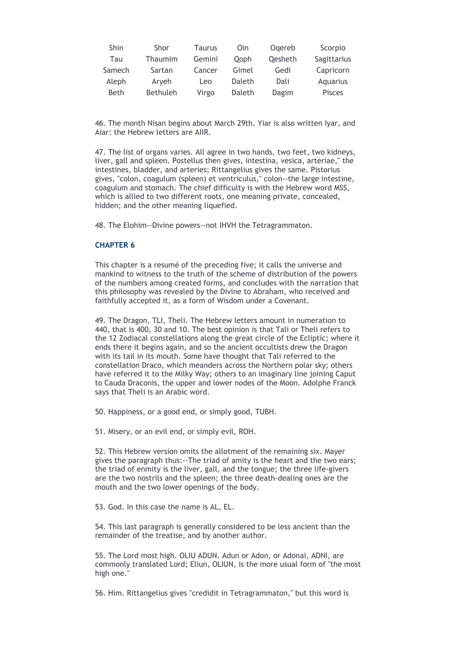| Shin   | Shor            | Taurus | 0in           | Ogereb  | Scorpio       |
|--------|-----------------|--------|---------------|---------|---------------|
| Tau    | Thaumim         | Gemini | Qoph          | Qesheth | Sagittarius   |
| Samech | Sartan          | Cancer | Gimel         | Gedi    | Capricorn     |
| Aleph  | Aryeh           | Leo    | <b>Daleth</b> | Dali    | Aquarius      |
| Beth   | <b>Bethuleh</b> | Virgo  | Daleth        | Dagim   | <b>Pisces</b> |

46. The month Nisan begins about March 29th. Yiar is also written Iyar, and Aiar: the Hebrew letters are AIIR.

47. The list of organs varies. All agree in two hands, two feet, two kidneys, liver, gall and spleen. Postellus then gives, intestina, vesica, arteriae," the intestines, bladder, and arteries; Rittangelius gives the same. Pistorius gives, "colon, coagulum (spleen) et ventriculus," colon--the large intestine, coagulum and stomach. The chief difficulty is with the Hebrew word MSS, which is allied to two different roots, one meaning private, concealed, hidden; and the other meaning liquefied.

48. The Elohim--Divine powers--not IHVH the Tetragrammaton.

#### **CHAPTER 6**

This chapter is a resumé of the preceding five; it calls the universe and mankind to witness to the truth of the scheme of distribution of the powers of the numbers among created forms, and concludes with the narration that this philosophy was revealed by the Divine to Abraham, who received and faithfully accepted it, as a form of Wisdom under a Covenant.

49. The Dragon, TLI, Theli. The Hebrew letters amount in numeration to 440, that is 400, 30 and 10. The best opinion is that Tali or Theli refers to the 12 Zodiacal constellations along the great circle of the Ecliptic; where it ends there it begins again, and so the ancient occultists drew the Dragon with its tail in its mouth. Some have thought that Tali referred to the constellation Draco, which meanders across the Northern polar sky; others have referred it to the Milky Way; others to an imaginary line joining Caput to Cauda Draconis, the upper and lower nodes of the Moon. Adolphe Franck says that Theli is an Arabic word.

50. Happiness, or a good end, or simply good, TUBH.

51. Misery, or an evil end, or simply evil, ROH.

52. This Hebrew version omits the allotment of the remaining six. Mayer gives the paragraph thus:--The triad of amity is the heart and the two ears; the triad of enmity is the liver, gall, and the tongue; the three life-givers are the two nostrils and the spleen; the three death-dealing ones are the mouth and the two lower openings of the body.

53. God. In this case the name is AL, EL.

54. This last paragraph is generally considered to be less ancient than the remainder of the treatise, and by another author.

55. The Lord most high. OLIU ADUN. Adun or Adon, or Adonai, ADNI, are commonly translated Lord; Eliun, OLIUN, is the more usual form of "the most high one."

56. Him. Rittangelius gives "credidit in Tetragrammaton," but this word is